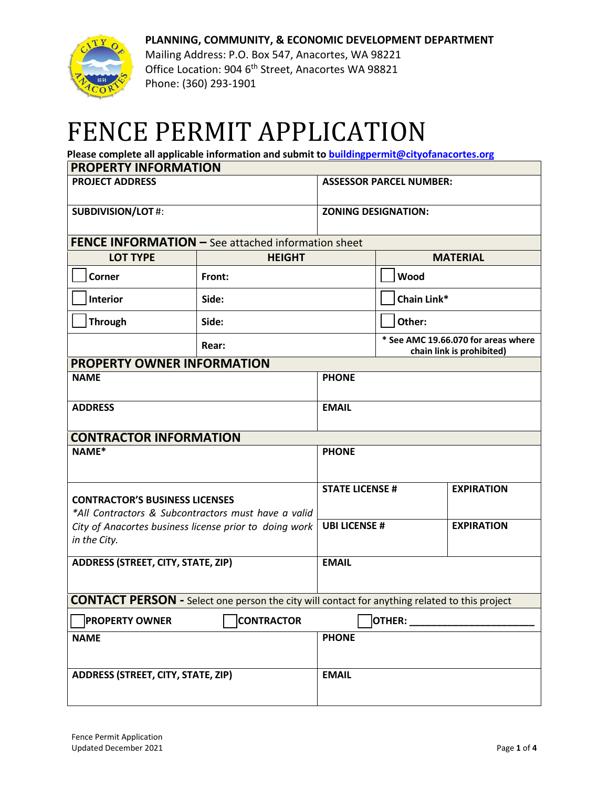



Mailing Address: P.O. Box 547, Anacortes, WA 98221 Office Location: 904 6<sup>th</sup> Street, Anacortes WA 98821 Phone: (360) 293-1901

## FENCE PERMIT APPLICATION

**Please complete all applicable information and submit t[o buildingpermit@cityofanacortes.org](mailto:buildingpermit@cityofanacortes.org)**

| <b>PROPERTY INFORMATION</b>                                                                          |               |                                           |                                                                  |                   |  |  |
|------------------------------------------------------------------------------------------------------|---------------|-------------------------------------------|------------------------------------------------------------------|-------------------|--|--|
| <b>PROJECT ADDRESS</b>                                                                               |               | <b>ASSESSOR PARCEL NUMBER:</b>            |                                                                  |                   |  |  |
| <b>SUBDIVISION/LOT#:</b>                                                                             |               | <b>ZONING DESIGNATION:</b>                |                                                                  |                   |  |  |
| <b>FENCE INFORMATION - See attached information sheet</b>                                            |               |                                           |                                                                  |                   |  |  |
| <b>LOT TYPE</b>                                                                                      | <b>HEIGHT</b> |                                           | <b>MATERIAL</b>                                                  |                   |  |  |
| <b>Corner</b>                                                                                        | Front:        |                                           | Wood                                                             |                   |  |  |
| <b>Interior</b>                                                                                      | Side:         |                                           | Chain Link*                                                      |                   |  |  |
| <b>Through</b>                                                                                       | Side:         |                                           | Other:                                                           |                   |  |  |
|                                                                                                      | Rear:         |                                           | * See AMC 19.66.070 for areas where<br>chain link is prohibited) |                   |  |  |
| <b>PROPERTY OWNER INFORMATION</b>                                                                    |               |                                           |                                                                  |                   |  |  |
| <b>NAME</b>                                                                                          |               | <b>PHONE</b>                              |                                                                  |                   |  |  |
| <b>ADDRESS</b>                                                                                       |               | <b>EMAIL</b>                              |                                                                  |                   |  |  |
| <b>CONTRACTOR INFORMATION</b>                                                                        |               |                                           |                                                                  |                   |  |  |
| NAME*                                                                                                |               | <b>PHONE</b>                              |                                                                  |                   |  |  |
|                                                                                                      |               | <b>STATE LICENSE #</b>                    |                                                                  | <b>EXPIRATION</b> |  |  |
| <b>CONTRACTOR'S BUSINESS LICENSES</b><br>*All Contractors & Subcontractors must have a valid         |               |                                           |                                                                  |                   |  |  |
| City of Anacortes business license prior to doing work                                               |               | <b>UBI LICENSE #</b><br><b>EXPIRATION</b> |                                                                  |                   |  |  |
| in the City.                                                                                         |               |                                           |                                                                  |                   |  |  |
| ADDRESS (STREET, CITY, STATE, ZIP)                                                                   |               | <b>EMAIL</b>                              |                                                                  |                   |  |  |
|                                                                                                      |               |                                           |                                                                  |                   |  |  |
| <b>CONTACT PERSON</b> - Select one person the city will contact for anything related to this project |               |                                           |                                                                  |                   |  |  |
| <b>CONTRACTOR</b><br><b>PROPERTY OWNER</b>                                                           |               | OTHER:                                    |                                                                  |                   |  |  |
| <b>NAME</b>                                                                                          |               | <b>PHONE</b>                              |                                                                  |                   |  |  |
| <b>ADDRESS (STREET, CITY, STATE, ZIP)</b>                                                            |               | <b>EMAIL</b>                              |                                                                  |                   |  |  |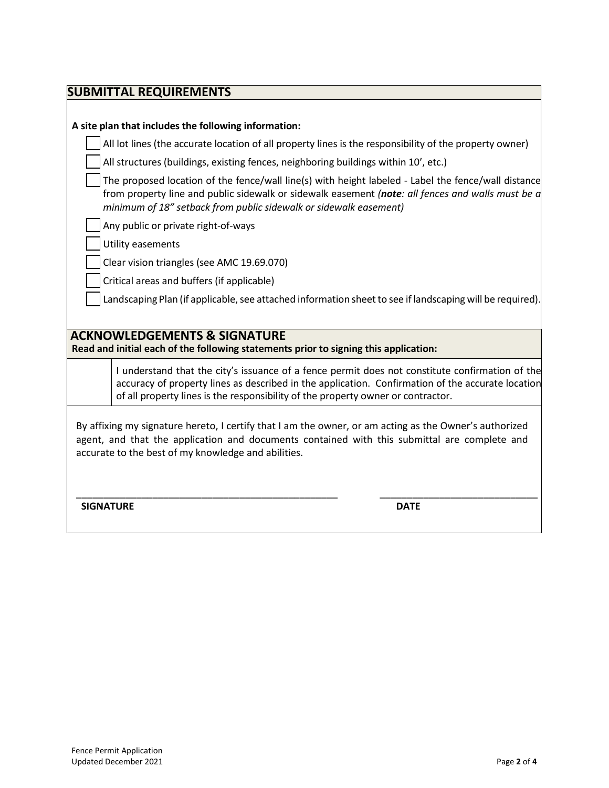| <b>SUBMITTAL REQUIREMENTS</b>                                                                                                                                                                                                                                 |                                                                                                                                                                                                                                                                                          |  |  |  |  |
|---------------------------------------------------------------------------------------------------------------------------------------------------------------------------------------------------------------------------------------------------------------|------------------------------------------------------------------------------------------------------------------------------------------------------------------------------------------------------------------------------------------------------------------------------------------|--|--|--|--|
|                                                                                                                                                                                                                                                               |                                                                                                                                                                                                                                                                                          |  |  |  |  |
| A site plan that includes the following information:                                                                                                                                                                                                          |                                                                                                                                                                                                                                                                                          |  |  |  |  |
|                                                                                                                                                                                                                                                               | All lot lines (the accurate location of all property lines is the responsibility of the property owner)                                                                                                                                                                                  |  |  |  |  |
|                                                                                                                                                                                                                                                               | All structures (buildings, existing fences, neighboring buildings within 10', etc.)                                                                                                                                                                                                      |  |  |  |  |
|                                                                                                                                                                                                                                                               | The proposed location of the fence/wall line(s) with height labeled - Label the fence/wall distance<br>from property line and public sidewalk or sidewalk easement (note: all fences and walls must be a<br>minimum of 18" setback from public sidewalk or sidewalk easement)            |  |  |  |  |
|                                                                                                                                                                                                                                                               | Any public or private right-of-ways                                                                                                                                                                                                                                                      |  |  |  |  |
|                                                                                                                                                                                                                                                               | Utility easements                                                                                                                                                                                                                                                                        |  |  |  |  |
|                                                                                                                                                                                                                                                               | Clear vision triangles (see AMC 19.69.070)                                                                                                                                                                                                                                               |  |  |  |  |
|                                                                                                                                                                                                                                                               | Critical areas and buffers (if applicable)                                                                                                                                                                                                                                               |  |  |  |  |
|                                                                                                                                                                                                                                                               | Landscaping Plan (if applicable, see attached information sheet to see if landscaping will be required).                                                                                                                                                                                 |  |  |  |  |
|                                                                                                                                                                                                                                                               |                                                                                                                                                                                                                                                                                          |  |  |  |  |
| <b>ACKNOWLEDGEMENTS &amp; SIGNATURE</b><br>Read and initial each of the following statements prior to signing this application:                                                                                                                               |                                                                                                                                                                                                                                                                                          |  |  |  |  |
|                                                                                                                                                                                                                                                               | I understand that the city's issuance of a fence permit does not constitute confirmation of the<br>accuracy of property lines as described in the application. Confirmation of the accurate location<br>of all property lines is the responsibility of the property owner or contractor. |  |  |  |  |
| By affixing my signature hereto, I certify that I am the owner, or am acting as the Owner's authorized<br>agent, and that the application and documents contained with this submittal are complete and<br>accurate to the best of my knowledge and abilities. |                                                                                                                                                                                                                                                                                          |  |  |  |  |
| <b>SIGNATURE</b>                                                                                                                                                                                                                                              | <b>DATE</b>                                                                                                                                                                                                                                                                              |  |  |  |  |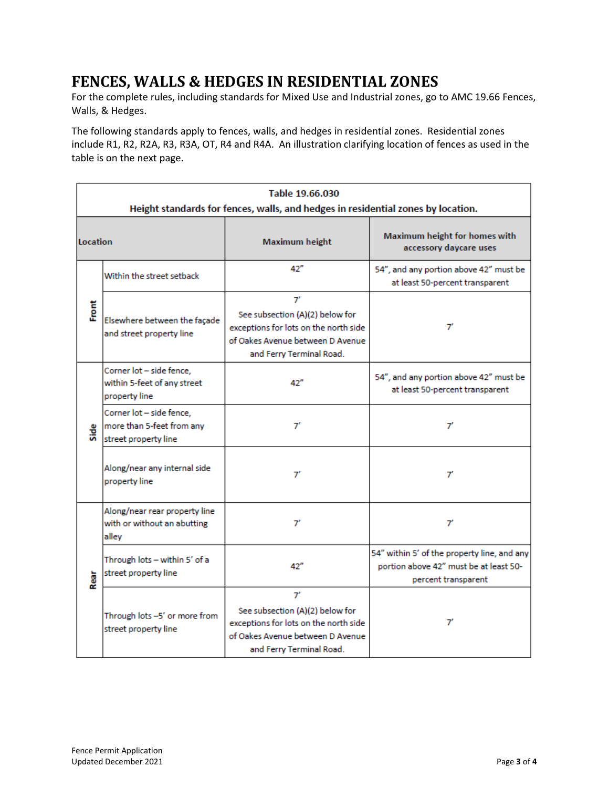## **FENCES, WALLS & HEDGES IN RESIDENTIAL ZONES**

For the complete rules, including standards for Mixed Use and Industrial zones, go to AMC 19.66 Fences, Walls, & Hedges.

The following standards apply to fences, walls, and hedges in residential zones. Residential zones include R1, R2, R2A, R3, R3A, OT, R4 and R4A. An illustration clarifying location of fences as used in the table is on the next page.

| Table 19.66.030<br>Height standards for fences, walls, and hedges in residential zones by location. |                                                                               |                                                                                                                                                |                                                                                                              |  |  |  |
|-----------------------------------------------------------------------------------------------------|-------------------------------------------------------------------------------|------------------------------------------------------------------------------------------------------------------------------------------------|--------------------------------------------------------------------------------------------------------------|--|--|--|
| Location                                                                                            |                                                                               | <b>Maximum height</b>                                                                                                                          | Maximum height for homes with<br>accessory daycare uses                                                      |  |  |  |
|                                                                                                     | Within the street setback                                                     | 42"                                                                                                                                            | 54", and any portion above 42" must be<br>at least 50-percent transparent                                    |  |  |  |
| Ĕ                                                                                                   | Elsewhere between the façade<br>and street property line                      | 7'<br>See subsection (A)(2) below for<br>exceptions for lots on the north side<br>of Oakes Avenue between D Avenue<br>and Ferry Terminal Road. | 7'                                                                                                           |  |  |  |
| Side                                                                                                | Corner lot - side fence,<br>within 5-feet of any street<br>property line      | 42"                                                                                                                                            | 54", and any portion above 42" must be<br>at least 50-percent transparent                                    |  |  |  |
|                                                                                                     | Corner lot - side fence,<br>more than 5-feet from any<br>street property line | 7'                                                                                                                                             | 7'                                                                                                           |  |  |  |
|                                                                                                     | Along/near any internal side<br>property line                                 | 7'                                                                                                                                             | $\tau$                                                                                                       |  |  |  |
| Rear                                                                                                | Along/near rear property line<br>with or without an abutting<br>alley         | 7'                                                                                                                                             | 7'                                                                                                           |  |  |  |
|                                                                                                     | Through lots - within 5' of a<br>street property line                         | 42"                                                                                                                                            | 54" within 5' of the property line, and any<br>portion above 42" must be at least 50-<br>percent transparent |  |  |  |
|                                                                                                     | Through lots -5' or more from<br>street property line                         | 7'<br>See subsection (A)(2) below for<br>exceptions for lots on the north side<br>of Oakes Avenue between D Avenue<br>and Ferry Terminal Road. | $\mathcal{T}'$                                                                                               |  |  |  |